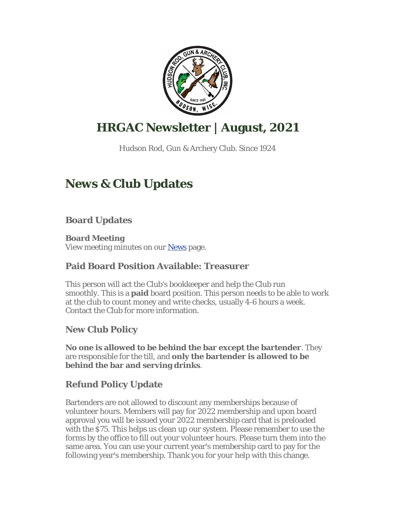

# **HRGAC Newsletter | August, 2021**

Hudson Rod, Gun & Archery Club. Since 1924

# **News & Club Updates**

**Board Updates**

**Board Meeting** View meeting minutes on our News page.

## **Paid Board Position Available: Treasurer**

This person will act the Club's bookkeeper and help the Club run smoothly. This is a **paid** board position. This person needs to be able to work at the club to count money and write checks, usually 4-6 hours a week. Contact the Club for more information.

## **New Club Policy**

**No one is allowed to be behind the bar except the bartender**. They are responsible for the till, and **only the bartender is allowed to be behind the bar and serving drinks**.

## **Refund Policy Update**

Bartenders are not allowed to discount any memberships because of volunteer hours. Members will pay for 2022 membership and upon board approval you will be issued your 2022 membership card that is preloaded with the \$75. This helps us clean up our system. Please remember to use the forms by the office to fill out your volunteer hours. Please turn them into the same area. You can use your current year's membership card to pay for the following year's membership. Thank you for your help with this change.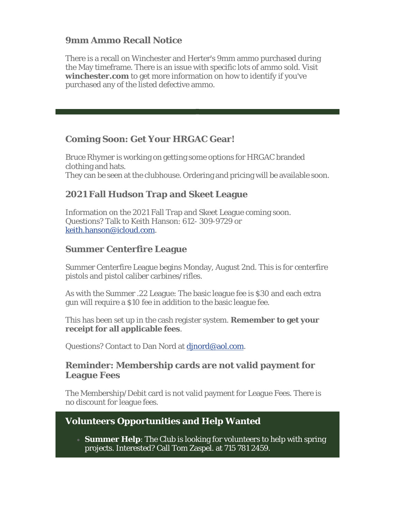### **9mm Ammo Recall Notice**

There is a recall on Winchester and Herter's 9mm ammo purchased during the May timeframe. There is an issue with specific lots of ammo sold. Visit **winchester.com** to get more information on how to identify if you've purchased any of the listed defective ammo.

### **Coming Soon: Get Your HRGAC Gear!**

Bruce Rhymer is working on getting some options for HRGAC branded clothing and hats. They can be seen at the clubhouse. Ordering and pricing will be available soon.

### **2021 Fall Hudson Trap and Skeet League**

Information on the 2021 Fall Trap and Skeet League coming soon. Questions? Talk to Keith Hanson: 612- 309-9729 or keith.hanson@icloud.com.

### **Summer Centerfire League**

Summer Centerfire League begins Monday, August 2nd. This is for centerfire pistols and pistol caliber carbines/rifles.

As with the Summer .22 League: The basic league fee is \$30 and each extra gun will require a \$10 fee in addition to the basic league fee.

This has been set up in the cash register system. **Remember to get your receipt for all applicable fees**.

Questions? Contact to Dan Nord at djnord@aol.com.

#### **Reminder: Membership cards are not valid payment for League Fees**

The Membership/Debit card is not valid payment for League Fees. There is no discount for league fees.

### **Volunteers Opportunities and Help Wanted**

 **Summer Help**: The Club is looking for volunteers to help with spring projects. Interested? Call Tom Zaspel. at 715 781 2459.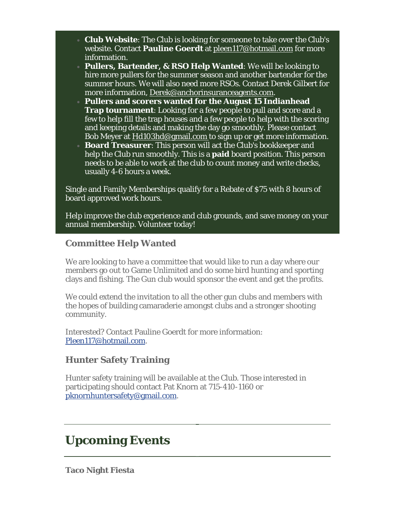- **Club Website**: The Club is looking for someone to take over the Club's website. Contact **Pauline Goerdt** at pleen117@hotmail.com for more information.
- **Pullers, Bartender, & RSO Help Wanted**: We will be looking to hire more pullers for the summer season and another bartender for the summer hours. We will also need more RSOs. Contact Derek Gilbert for more information, Derek@anchorinsuranceagents.com.
- **Pullers and scorers wanted for the August 15 Indianhead Trap tournament**: Looking for a few people to pull and score and a few to help fill the trap houses and a few people to help with the scoring and keeping details and making the day go smoothly. Please contact Bob Meyer at Hd103hd@gmail.com to sign up or get more information.
- **Board Treasurer**: This person will act the Club's bookkeeper and help the Club run smoothly. This is a **paid** board position. This person needs to be able to work at the club to count money and write checks, usually 4-6 hours a week.

Single and Family Memberships qualify for a Rebate of \$75 with 8 hours of board approved work hours.

Help improve the club experience and club grounds, and save money on your annual membership. Volunteer today!

### **Committee Help Wanted**

We are looking to have a committee that would like to run a day where our members go out to Game Unlimited and do some bird hunting and sporting clays and fishing. The Gun club would sponsor the event and get the profits.

We could extend the invitation to all the other gun clubs and members with the hopes of building camaraderie amongst clubs and a stronger shooting community.

Interested? Contact Pauline Goerdt for more information: Pleen117@hotmail.com.

### **Hunter Safety Training**

Hunter safety training will be available at the Club. Those interested in participating should contact Pat Knorn at 715-410-1160 or pknornhuntersafety@gmail.com.

# **Upcoming Events**

**Taco Night Fiesta**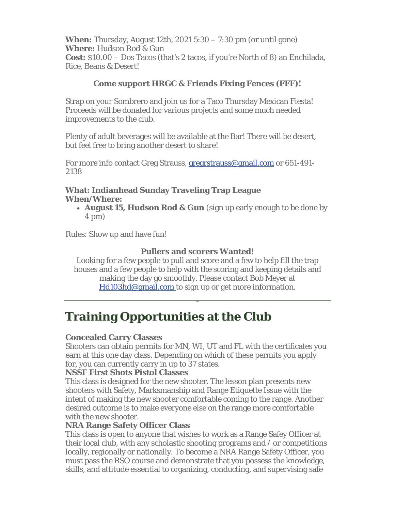**When:** Thursday, August 12th, 2021 5:30 – 7:30 pm (or until gone) **Where:** Hudson Rod & Gun **Cost:** \$10.00 – Dos Tacos (that's 2 tacos, if you're North of 8) an Enchilada, Rice, Beans & Desert!

#### **Come support HRGC & Friends Fixing Fences (FFF)!**

Strap on your Sombrero and join us for a Taco Thursday Mexican Fiesta! Proceeds will be donated for various projects and some much needed improvements to the club.

Plenty of adult beverages will be available at the Bar! There will be desert, but feel free to bring another desert to share!

For more info contact Greg Strauss, gregrstrauss@gmail.com or 651-491- 2138

#### **What: Indianhead Sunday Traveling Trap League When/Where:**

 **August 15, Hudson Rod & Gun** (sign up early enough to be done by 4 pm)

Rules: Show up and have fun!

#### **Pullers and scorers Wanted!**

Looking for a few people to pull and score and a few to help fill the trap houses and a few people to help with the scoring and keeping details and making the day go smoothly. Please contact Bob Meyer at Hd103hd@gmail.com to sign up or get more information.

## **Training Opportunities at the Club**

#### **Concealed Carry Classes**

Shooters can obtain permits for MN, WI, UT and FL with the certificates you earn at this one day class. Depending on which of these permits you apply for, you can currently carry in up to 37 states.

#### **NSSF First Shots Pistol Classes**

This class is designed for the new shooter. The lesson plan presents new shooters with Safety, Marksmanship and Range Etiquette Issue with the intent of making the new shooter comfortable coming to the range. Another desired outcome is to make everyone else on the range more comfortable with the new shooter.

#### **NRA Range Safety Officer Class**

This class is open to anyone that wishes to work as a Range Safey Officer at their local club, with any scholastic shooting programs and / or competitions locally, regionally or nationally. To become a NRA Range Safety Officer, you must pass the RSO course and demonstrate that you possess the knowledge, skills, and attitude essential to organizing, conducting, and supervising safe